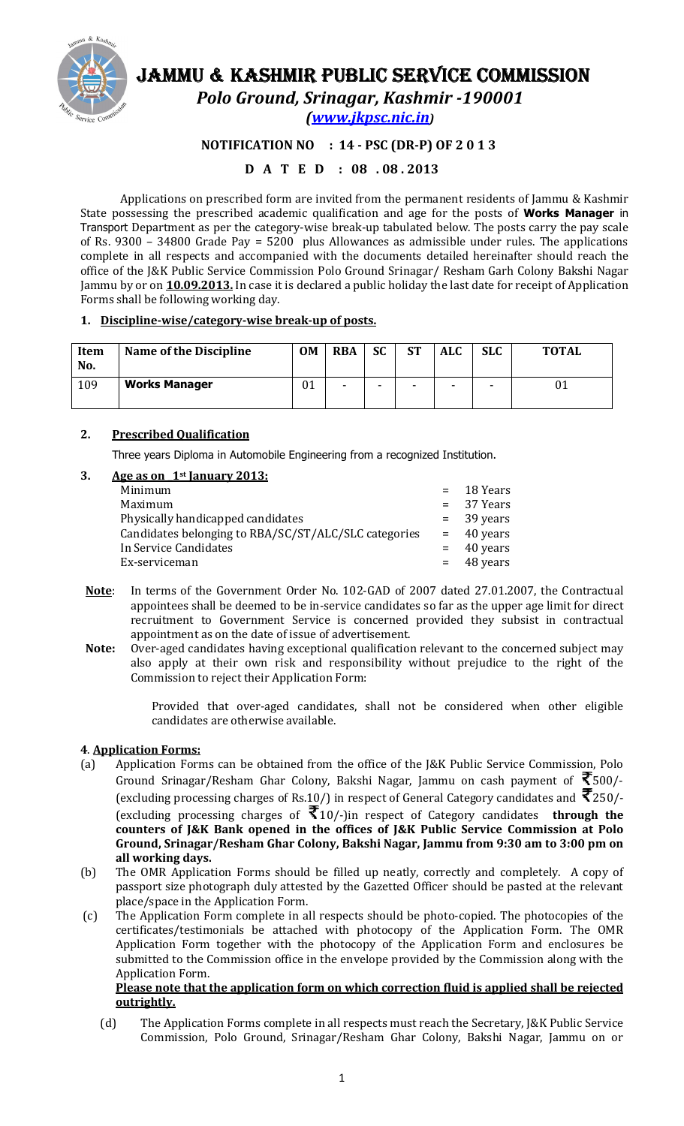

# JAMMU & KASHMIR PUBLIC SERVICE COMMISSION

Polo Ground, Srinagar, Kashmir -190001

(www.jkpsc.nic.in)

# NOTIFICATION NO : 14 - PSC (DR-P) OF 2 0 1 3

# D A T E D : 08 . 08 . 2013

Applications on prescribed form are invited from the permanent residents of Jammu & Kashmir State possessing the prescribed academic qualification and age for the posts of Works Manager in Transport Department as per the category-wise break-up tabulated below. The posts carry the pay scale of Rs. 9300 – 34800 Grade Pay = 5200 plus Allowances as admissible under rules. The applications complete in all respects and accompanied with the documents detailed hereinafter should reach the office of the J&K Public Service Commission Polo Ground Srinagar/ Resham Garh Colony Bakshi Nagar Jammu by or on **10.09.2013.** In case it is declared a public holiday the last date for receipt of Application Forms shall be following working day.

# 1. Discipline-wise/category-wise break-up of posts.

| <b>Item</b><br>No. | Name of the Discipline | <b>OM</b> | <b>RBA</b>               | <b>SC</b> | <b>ST</b> | <b>ALC</b> | <b>SLC</b> | <b>TOTAL</b> |
|--------------------|------------------------|-----------|--------------------------|-----------|-----------|------------|------------|--------------|
| 109                | <b>Works Manager</b>   | 01        | $\overline{\phantom{0}}$ | -         | -         | -          | -          | 01           |

# 2. Prescribed Qualification

Three years Diploma in Automobile Engineering from a recognized Institution.

# 3. Age as on  $1<sup>st</sup>$  January 2013:

| Minimum                                              | $=$ 18 Years |
|------------------------------------------------------|--------------|
| Maximum                                              | $= 37$ Years |
| Physically handicapped candidates                    | $=$ 39 years |
| Candidates belonging to RBA/SC/ST/ALC/SLC categories | $=$ 40 years |
| In Service Candidates                                | $=$ 40 years |
| Ex-serviceman                                        | $=$ 48 years |

- Note: In terms of the Government Order No. 102-GAD of 2007 dated 27.01.2007, the Contractual appointees shall be deemed to be in-service candidates so far as the upper age limit for direct recruitment to Government Service is concerned provided they subsist in contractual appointment as on the date of issue of advertisement.
- Note: Over-aged candidates having exceptional qualification relevant to the concerned subject may also apply at their own risk and responsibility without prejudice to the right of the Commission to reject their Application Form:

Provided that over-aged candidates, shall not be considered when other eligible candidates are otherwise available.

# 4. Application Forms:

- (a) Application Forms can be obtained from the office of the J&K Public Service Commission, Polo Ground Srinagar/Resham Ghar Colony, Bakshi Nagar, Jammu on cash payment of  $\bar{\mathfrak{T}}$ 500/-(excluding processing charges of Rs.10/) in respect of General Category candidates and  $\bar{\mathcal{R}}$ 250/-(excluding processing charges of  $\bar{\mathfrak{F}}_{10/-}$ ) in respect of Category candidates **through the** counters of J&K Bank opened in the offices of J&K Public Service Commission at Polo Ground, Srinagar/Resham Ghar Colony, Bakshi Nagar, Jammu from 9:30 am to 3:00 pm on all working days.
- (b) The OMR Application Forms should be filled up neatly, correctly and completely. A copy of passport size photograph duly attested by the Gazetted Officer should be pasted at the relevant place/space in the Application Form.
- (c) The Application Form complete in all respects should be photo-copied. The photocopies of the certificates/testimonials be attached with photocopy of the Application Form. The OMR Application Form together with the photocopy of the Application Form and enclosures be submitted to the Commission office in the envelope provided by the Commission along with the Application Form.

# Please note that the application form on which correction fluid is applied shall be rejected outrightly.

(d) The Application Forms complete in all respects must reach the Secretary, J&K Public Service Commission, Polo Ground, Srinagar/Resham Ghar Colony, Bakshi Nagar, Jammu on or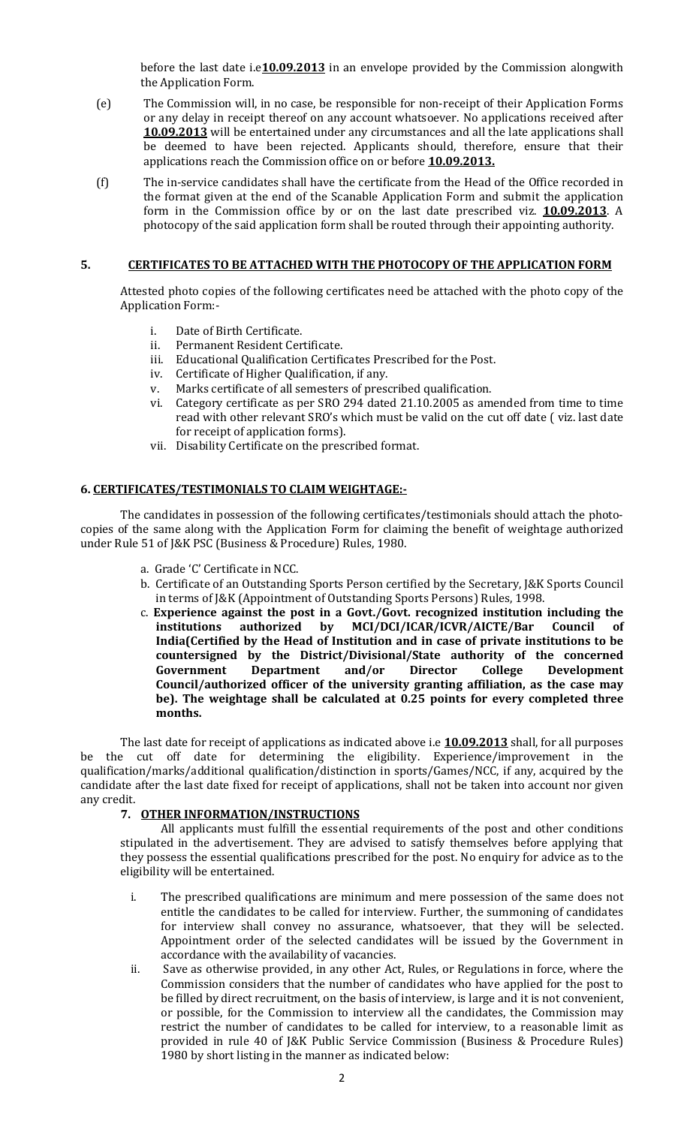before the last date i.e $10.09.2013$  in an envelope provided by the Commission alongwith the Application Form.

- (e) The Commission will, in no case, be responsible for non-receipt of their Application Forms or any delay in receipt thereof on any account whatsoever. No applications received after 10.09.2013 will be entertained under any circumstances and all the late applications shall be deemed to have been rejected. Applicants should, therefore, ensure that their applications reach the Commission office on or before **10.09.2013.**
- (f) The in-service candidates shall have the certificate from the Head of the Office recorded in the format given at the end of the Scanable Application Form and submit the application form in the Commission office by or on the last date prescribed viz. **10.09.2013**. A photocopy of the said application form shall be routed through their appointing authority.

### 5. CERTIFICATES TO BE ATTACHED WITH THE PHOTOCOPY OF THE APPLICATION FORM

Attested photo copies of the following certificates need be attached with the photo copy of the Application Form:-

- i. Date of Birth Certificate.
- ii. Permanent Resident Certificate.
- iii. Educational Qualification Certificates Prescribed for the Post.
- iv. Certificate of Higher Qualification, if any.<br>v. Marks certificate of all semesters of prese
- Marks certificate of all semesters of prescribed qualification.
- vi. Category certificate as per SRO 294 dated 21.10.2005 as amended from time to time read with other relevant SRO's which must be valid on the cut off date ( viz. last date for receipt of application forms).
- vii. Disability Certificate on the prescribed format.

#### 6. CERTIFICATES/TESTIMONIALS TO CLAIM WEIGHTAGE:-

The candidates in possession of the following certificates/testimonials should attach the photocopies of the same along with the Application Form for claiming the benefit of weightage authorized under Rule 51 of J&K PSC (Business & Procedure) Rules, 1980.

- a. Grade 'C' Certificate in NCC.
- b. Certificate of an Outstanding Sports Person certified by the Secretary, J&K Sports Council in terms of J&K (Appointment of Outstanding Sports Persons) Rules, 1998.
- c. Experience against the post in a Govt./Govt. recognized institution including the institutions authorized by MCI/DCI/ICAR/ICVR/AICTE/Bar Council of India(Certified by the Head of Institution and in case of private institutions to be countersigned by the District/Divisional/State authority of the concerned Government Department and/or Director College Development Council/authorized officer of the university granting affiliation, as the case may be). The weightage shall be calculated at 0.25 points for every completed three months.

The last date for receipt of applications as indicated above i.e **10.09.2013** shall, for all purposes be the cut off date for determining the eligibility. Experience/improvement in the qualification/marks/additional qualification/distinction in sports/Games/NCC, if any, acquired by the candidate after the last date fixed for receipt of applications, shall not be taken into account nor given any credit.

#### 7. OTHER INFORMATION/INSTRUCTIONS

All applicants must fulfill the essential requirements of the post and other conditions stipulated in the advertisement. They are advised to satisfy themselves before applying that they possess the essential qualifications prescribed for the post. No enquiry for advice as to the eligibility will be entertained.

- i. The prescribed qualifications are minimum and mere possession of the same does not entitle the candidates to be called for interview. Further, the summoning of candidates for interview shall convey no assurance, whatsoever, that they will be selected. Appointment order of the selected candidates will be issued by the Government in accordance with the availability of vacancies.
- ii. Save as otherwise provided, in any other Act, Rules, or Regulations in force, where the Commission considers that the number of candidates who have applied for the post to be filled by direct recruitment, on the basis of interview, is large and it is not convenient, or possible, for the Commission to interview all the candidates, the Commission may restrict the number of candidates to be called for interview, to a reasonable limit as provided in rule 40 of J&K Public Service Commission (Business & Procedure Rules) 1980 by short listing in the manner as indicated below: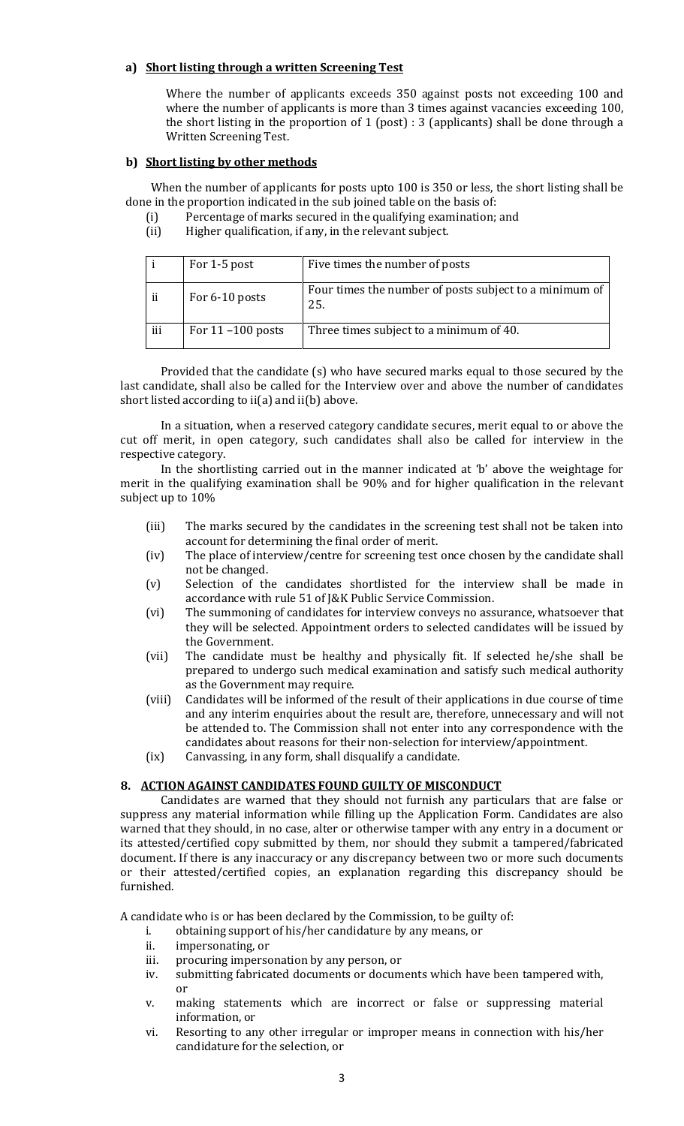#### a) Short listing through a written Screening Test

Where the number of applicants exceeds 350 against posts not exceeding 100 and where the number of applicants is more than 3 times against vacancies exceeding 100, the short listing in the proportion of 1 (post) : 3 (applicants) shall be done through a Written Screening Test.

#### b) Short listing by other methods

 When the number of applicants for posts upto 100 is 350 or less, the short listing shall be done in the proportion indicated in the sub joined table on the basis of:

- (i) Percentage of marks secured in the qualifying examination; and
- (ii) Higher qualification, if any, in the relevant subject.

|     | For 1-5 post         | Five times the number of posts                                |
|-----|----------------------|---------------------------------------------------------------|
| ii  | For 6-10 posts       | Four times the number of posts subject to a minimum of<br>25. |
| iii | For $11 - 100$ posts | Three times subject to a minimum of 40.                       |

Provided that the candidate (s) who have secured marks equal to those secured by the last candidate, shall also be called for the Interview over and above the number of candidates short listed according to ii(a) and ii(b) above.

In a situation, when a reserved category candidate secures, merit equal to or above the cut off merit, in open category, such candidates shall also be called for interview in the respective category.

In the shortlisting carried out in the manner indicated at 'b' above the weightage for merit in the qualifying examination shall be 90% and for higher qualification in the relevant subject up to 10%

- (iii) The marks secured by the candidates in the screening test shall not be taken into account for determining the final order of merit.
- (iv) The place of interview/centre for screening test once chosen by the candidate shall not be changed.
- (v) Selection of the candidates shortlisted for the interview shall be made in accordance with rule 51 of J&K Public Service Commission.
- (vi) The summoning of candidates for interview conveys no assurance, whatsoever that they will be selected. Appointment orders to selected candidates will be issued by the Government.
- (vii) The candidate must be healthy and physically fit. If selected he/she shall be prepared to undergo such medical examination and satisfy such medical authority as the Government may require.
- (viii) Candidates will be informed of the result of their applications in due course of time and any interim enquiries about the result are, therefore, unnecessary and will not be attended to. The Commission shall not enter into any correspondence with the candidates about reasons for their non-selection for interview/appointment.
- (ix) Canvassing, in any form, shall disqualify a candidate.

#### 8. ACTION AGAINST CANDIDATES FOUND GUILTY OF MISCONDUCT

Candidates are warned that they should not furnish any particulars that are false or suppress any material information while filling up the Application Form. Candidates are also warned that they should, in no case, alter or otherwise tamper with any entry in a document or its attested/certified copy submitted by them, nor should they submit a tampered/fabricated document. If there is any inaccuracy or any discrepancy between two or more such documents or their attested/certified copies, an explanation regarding this discrepancy should be furnished.

A candidate who is or has been declared by the Commission, to be guilty of:

i. obtaining support of his/her candidature by any means, or

- ii. impersonating, or
- iii. procuring impersonation by any person, or
- iv. submitting fabricated documents or documents which have been tampered with, or
- v. making statements which are incorrect or false or suppressing material information, or
- vi. Resorting to any other irregular or improper means in connection with his/her candidature for the selection, or